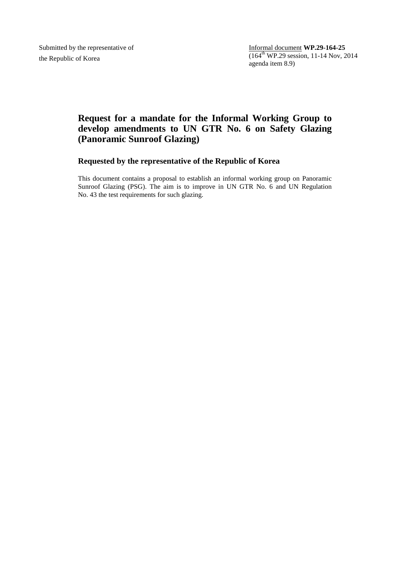Submitted by the representative of the Republic of Korea

Informal document **WP.29-164-25** (164 th WP.29 session, 11-14 Nov, 2014 agenda item 8.9)

# **Request for a mandate for the Informal Working Group to develop amendments to UN GTR No. 6 on Safety Glazing (Panoramic Sunroof Glazing)**

## **Requested by the representative of the Republic of Korea**

This document contains a proposal to establish an informal working group on Panoramic Sunroof Glazing (PSG). The aim is to improve in UN GTR No. 6 and UN Regulation No. 43 the test requirements for such glazing.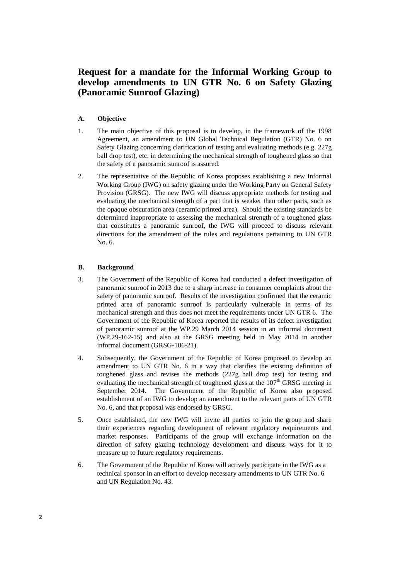## **Request for a mandate for the Informal Working Group to develop amendments to UN GTR No. 6 on Safety Glazing (Panoramic Sunroof Glazing)**

## **A. Objective**

- 1. The main objective of this proposal is to develop, in the framework of the 1998 Agreement, an amendment to UN Global Technical Regulation (GTR) No. 6 on Safety Glazing concerning clarification of testing and evaluating methods (e.g. 227g ball drop test), etc. in determining the mechanical strength of toughened glass so that the safety of a panoramic sunroof is assured.
- 2. The representative of the Republic of Korea proposes establishing a new Informal Working Group (IWG) on safety glazing under the Working Party on General Safety Provision (GRSG). The new IWG will discuss appropriate methods for testing and evaluating the mechanical strength of a part that is weaker than other parts, such as the opaque obscuration area (ceramic printed area). Should the existing standards be determined inappropriate to assessing the mechanical strength of a toughened glass that constitutes a panoramic sunroof, the IWG will proceed to discuss relevant directions for the amendment of the rules and regulations pertaining to UN GTR No. 6.

### **B. Background**

- 3. The Government of the Republic of Korea had conducted a defect investigation of panoramic sunroof in 2013 due to a sharp increase in consumer complaints about the safety of panoramic sunroof. Results of the investigation confirmed that the ceramic printed area of panoramic sunroof is particularly vulnerable in terms of its mechanical strength and thus does not meet the requirements under UN GTR 6. The Government of the Republic of Korea reported the results of its defect investigation of panoramic sunroof at the WP.29 March 2014 session in an informal document (WP.29-162-15) and also at the GRSG meeting held in May 2014 in another informal document (GRSG-106-21).
- 4. Subsequently, the Government of the Republic of Korea proposed to develop an amendment to UN GTR No. 6 in a way that clarifies the existing definition of toughened glass and revises the methods (227g ball drop test) for testing and evaluating the mechanical strength of toughened glass at the  $107<sup>th</sup>$  GRSG meeting in September 2014. The Government of the Republic of Korea also proposed establishment of an IWG to develop an amendment to the relevant parts of UN GTR No. 6, and that proposal was endorsed by GRSG.
- 5. Once established, the new IWG will invite all parties to join the group and share their experiences regarding development of relevant regulatory requirements and market responses. Participants of the group will exchange information on the direction of safety glazing technology development and discuss ways for it to measure up to future regulatory requirements.
- 6. The Government of the Republic of Korea will actively participate in the IWG as a technical sponsor in an effort to develop necessary amendments to UN GTR No. 6 and UN Regulation No. 43.